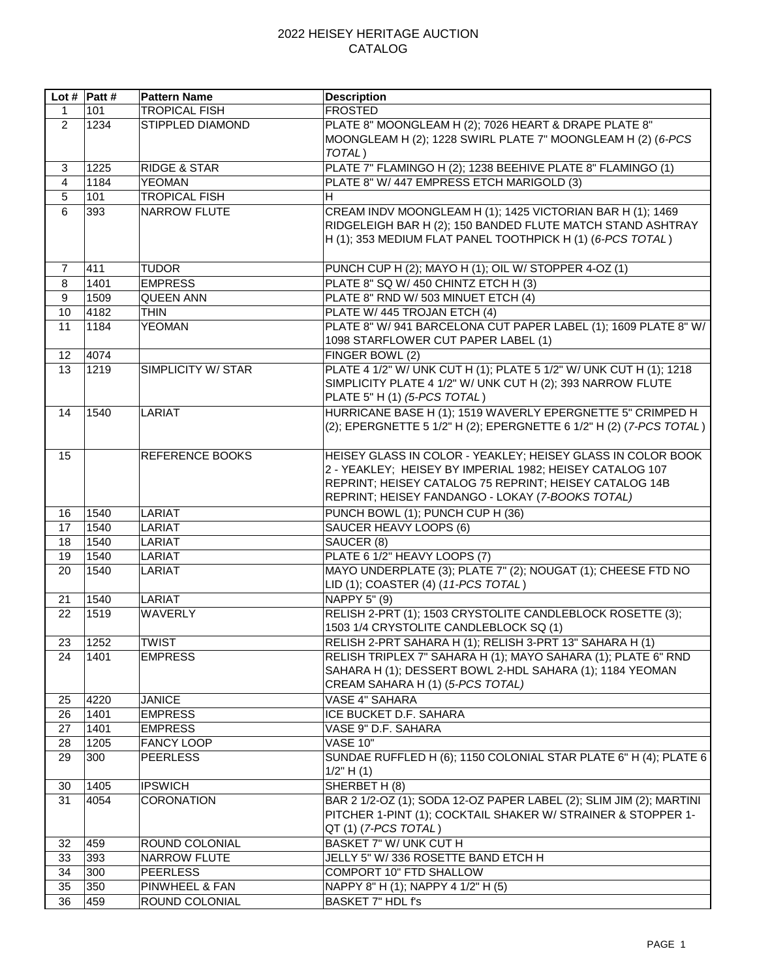|                 | Lot # $Part #$ | <b>Pattern Name</b>               | <b>Description</b>                                                  |
|-----------------|----------------|-----------------------------------|---------------------------------------------------------------------|
| $\mathbf{1}$    | 101            | <b>TROPICAL FISH</b>              | <b>FROSTED</b>                                                      |
| $\overline{2}$  | 1234           | STIPPLED DIAMOND                  | PLATE 8" MOONGLEAM H (2); 7026 HEART & DRAPE PLATE 8"               |
|                 |                |                                   | MOONGLEAM H (2); 1228 SWIRL PLATE 7" MOONGLEAM H (2) (6-PCS         |
|                 |                |                                   | TOTAL)                                                              |
| 3               | 1225           | <b>RIDGE &amp; STAR</b>           | PLATE 7" FLAMINGO H (2); 1238 BEEHIVE PLATE 8" FLAMINGO (1)         |
| $\overline{4}$  | 1184           | <b>YEOMAN</b>                     | PLATE 8" W/ 447 EMPRESS ETCH MARIGOLD (3)                           |
| 5               | 101            | <b>TROPICAL FISH</b>              | H                                                                   |
| 6               | 393            | <b>NARROW FLUTE</b>               | CREAM INDV MOONGLEAM H (1); 1425 VICTORIAN BAR H (1); 1469          |
|                 |                |                                   | RIDGELEIGH BAR H (2); 150 BANDED FLUTE MATCH STAND ASHTRAY          |
|                 |                |                                   | H (1); 353 MEDIUM FLAT PANEL TOOTHPICK H (1) (6-PCS TOTAL)          |
|                 |                |                                   |                                                                     |
| 7               | 411            | <b>TUDOR</b>                      | PUNCH CUP H (2); MAYO H (1); OIL W/ STOPPER 4-OZ (1)                |
| 8               | 1401           | <b>EMPRESS</b>                    | PLATE 8" SQ W/ 450 CHINTZ ETCH H (3)                                |
| 9               | 1509           | <b>QUEEN ANN</b>                  | PLATE 8" RND W/ 503 MINUET ETCH (4)                                 |
| 10              | 4182           | <b>THIN</b>                       | PLATE W/ 445 TROJAN ETCH (4)                                        |
| 11              | 1184           | <b>YEOMAN</b>                     | PLATE 8" W/ 941 BARCELONA CUT PAPER LABEL (1); 1609 PLATE 8" W/     |
|                 |                |                                   | 1098 STARFLOWER CUT PAPER LABEL (1)                                 |
| 12 <sup>2</sup> | 4074           |                                   | FINGER BOWL (2)                                                     |
| 13              | 1219           | SIMPLICITY W/ STAR                | PLATE 4 1/2" W/ UNK CUT H (1); PLATE 5 1/2" W/ UNK CUT H (1); 1218  |
|                 |                |                                   | SIMPLICITY PLATE 4 1/2" W/ UNK CUT H (2); 393 NARROW FLUTE          |
|                 |                |                                   | PLATE 5" H (1) (5-PCS TOTAL)                                        |
| 14              | 1540           | <b>LARIAT</b>                     | HURRICANE BASE H (1); 1519 WAVERLY EPERGNETTE 5" CRIMPED H          |
|                 |                |                                   | (2); EPERGNETTE 5 1/2" H (2); EPERGNETTE 6 1/2" H (2) (7-PCS TOTAL) |
|                 |                |                                   |                                                                     |
| 15              |                | REFERENCE BOOKS                   | HEISEY GLASS IN COLOR - YEAKLEY; HEISEY GLASS IN COLOR BOOK         |
|                 |                |                                   | 2 - YEAKLEY; HEISEY BY IMPERIAL 1982; HEISEY CATALOG 107            |
|                 |                |                                   | REPRINT; HEISEY CATALOG 75 REPRINT; HEISEY CATALOG 14B              |
|                 |                |                                   | REPRINT; HEISEY FANDANGO - LOKAY (7-BOOKS TOTAL)                    |
| 16              | 1540           | <b>LARIAT</b>                     | PUNCH BOWL (1); PUNCH CUP H (36)                                    |
| 17              | 1540           | LARIAT                            | <b>SAUCER HEAVY LOOPS (6)</b>                                       |
| 18              | 1540           | <b>LARIAT</b>                     | SAUCER (8)                                                          |
| 19              | 1540           | LARIAT                            | PLATE 6 1/2" HEAVY LOOPS (7)                                        |
| 20              | 1540           | <b>LARIAT</b>                     | MAYO UNDERPLATE (3); PLATE 7" (2); NOUGAT (1); CHEESE FTD NO        |
|                 |                |                                   | LID (1); COASTER (4) (11-PCS TOTAL)                                 |
| 21              | 1540           | LARIAT                            | <b>NAPPY 5" (9)</b>                                                 |
| 22              | 1519           | WAVERLY                           | RELISH 2-PRT (1); 1503 CRYSTOLITE CANDLEBLOCK ROSETTE (3);          |
|                 |                |                                   | 1503 1/4 CRYSTOLITE CANDLEBLOCK SQ (1)                              |
| 23              | 1252           | <b>TWIST</b>                      | RELISH 2-PRT SAHARA H (1); RELISH 3-PRT 13" SAHARA H (1)            |
| 24              | 1401           | <b>EMPRESS</b>                    | RELISH TRIPLEX 7" SAHARA H (1); MAYO SAHARA (1); PLATE 6" RND       |
|                 |                |                                   | SAHARA H (1); DESSERT BOWL 2-HDL SAHARA (1); 1184 YEOMAN            |
|                 |                |                                   | CREAM SAHARA H (1) (5-PCS TOTAL)                                    |
| 25              | 4220           | <b>JANICE</b>                     | VASE 4" SAHARA                                                      |
| 26              | 1401           | <b>EMPRESS</b>                    | ICE BUCKET D.F. SAHARA                                              |
| 27              | 1401           | <b>EMPRESS</b>                    | VASE 9" D.F. SAHARA                                                 |
| 28              | 1205           | <b>FANCY LOOP</b>                 | <b>VASE 10"</b>                                                     |
| 29              | 300            | <b>PEERLESS</b>                   | SUNDAE RUFFLED H (6); 1150 COLONIAL STAR PLATE 6" H (4); PLATE 6    |
|                 |                |                                   | $1/2$ " H $(1)$                                                     |
| 30              | 1405           | <b>IPSWICH</b>                    | SHERBET H (8)                                                       |
| 31              | 4054           | <b>CORONATION</b>                 | BAR 2 1/2-OZ (1); SODA 12-OZ PAPER LABEL (2); SLIM JIM (2); MARTINI |
|                 |                |                                   | PITCHER 1-PINT (1); COCKTAIL SHAKER W/ STRAINER & STOPPER 1-        |
|                 |                |                                   | QT (1) (7-PCS TOTAL)                                                |
| 32              | 459            | ROUND COLONIAL                    | BASKET 7" W/ UNK CUT H                                              |
| 33              | 393            | <b>NARROW FLUTE</b>               | JELLY 5" W/ 336 ROSETTE BAND ETCH H                                 |
| 34<br>35        | 300<br>350     | <b>PEERLESS</b><br>PINWHEEL & FAN | COMPORT 10" FTD SHALLOW<br>NAPPY 8" H (1); NAPPY 4 1/2" H (5)       |
| 36              | 459            | ROUND COLONIAL                    | BASKET 7" HDL f's                                                   |
|                 |                |                                   |                                                                     |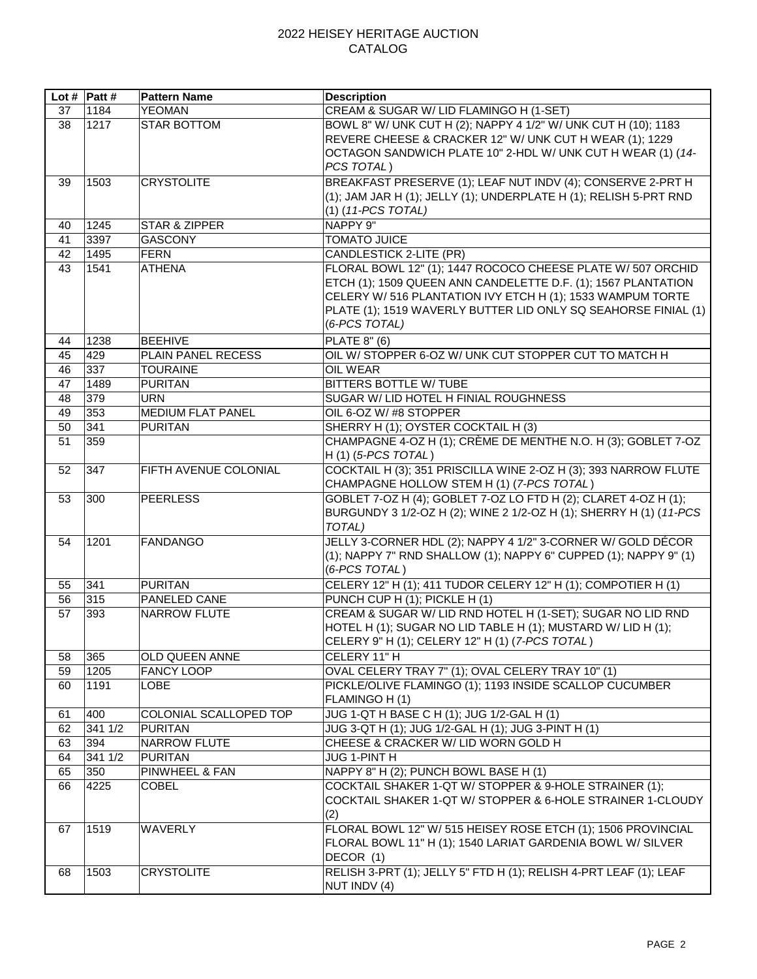|    | Lot #  Patt # | <b>Pattern Name</b>    | <b>Description</b>                                                            |
|----|---------------|------------------------|-------------------------------------------------------------------------------|
| 37 | 1184          | <b>YEOMAN</b>          | CREAM & SUGAR W/ LID FLAMINGO H (1-SET)                                       |
| 38 | 1217          | <b>STAR BOTTOM</b>     | BOWL 8" W/ UNK CUT H (2); NAPPY 4 1/2" W/ UNK CUT H (10); 1183                |
|    |               |                        | REVERE CHEESE & CRACKER 12" W/ UNK CUT H WEAR (1); 1229                       |
|    |               |                        | OCTAGON SANDWICH PLATE 10" 2-HDL W/ UNK CUT H WEAR (1) (14-                   |
|    |               |                        | PCS TOTAL)                                                                    |
| 39 | 1503          | <b>CRYSTOLITE</b>      | BREAKFAST PRESERVE (1); LEAF NUT INDV (4); CONSERVE 2-PRT H                   |
|    |               |                        | $(1)$ ; JAM JAR H $(1)$ ; JELLY $(1)$ ; UNDERPLATE H $(1)$ ; RELISH 5-PRT RND |
|    |               |                        | $(1)$ (11-PCS TOTAL)                                                          |
| 40 | 1245          | STAR & ZIPPER          | NAPPY 9"                                                                      |
| 41 | 3397          | <b>GASCONY</b>         | <b>TOMATO JUICE</b>                                                           |
| 42 | 1495          | <b>FERN</b>            | <b>CANDLESTICK 2-LITE (PR)</b>                                                |
| 43 | 1541          | <b>ATHENA</b>          | FLORAL BOWL 12" (1); 1447 ROCOCO CHEESE PLATE W/ 507 ORCHID                   |
|    |               |                        | ETCH (1); 1509 QUEEN ANN CANDELETTE D.F. (1); 1567 PLANTATION                 |
|    |               |                        | CELERY W/ 516 PLANTATION IVY ETCH H (1); 1533 WAMPUM TORTE                    |
|    |               |                        | PLATE (1); 1519 WAVERLY BUTTER LID ONLY SQ SEAHORSE FINIAL (1)                |
|    |               |                        | (6-PCS TOTAL)                                                                 |
| 44 | 1238          | <b>BEEHIVE</b>         | <b>PLATE 8" (6)</b>                                                           |
| 45 | 429           | PLAIN PANEL RECESS     | OIL W/ STOPPER 6-OZ W/ UNK CUT STOPPER CUT TO MATCH H                         |
| 46 | 337           | <b>TOURAINE</b>        | OIL WEAR                                                                      |
| 47 | 1489          | <b>PURITAN</b>         | BITTERS BOTTLE W/ TUBE                                                        |
| 48 | 379           | <b>URN</b>             | SUGAR W/ LID HOTEL H FINIAL ROUGHNESS                                         |
| 49 | 353           | MEDIUM FLAT PANEL      | OIL 6-OZ W/#8 STOPPER                                                         |
| 50 | 341           | <b>PURITAN</b>         | SHERRY H (1); OYSTER COCKTAIL H (3)                                           |
| 51 | 359           |                        | CHAMPAGNE 4-OZ H (1); CRÈME DE MENTHE N.O. H (3); GOBLET 7-OZ                 |
|    |               |                        | $H(1)$ (5-PCS TOTAL)                                                          |
| 52 | 347           | FIFTH AVENUE COLONIAL  | COCKTAIL H (3); 351 PRISCILLA WINE 2-OZ H (3); 393 NARROW FLUTE               |
|    |               |                        | CHAMPAGNE HOLLOW STEM H (1) (7-PCS TOTAL)                                     |
| 53 | 300           | <b>PEERLESS</b>        | GOBLET 7-OZ H (4); GOBLET 7-OZ LO FTD H (2); CLARET 4-OZ H (1);               |
|    |               |                        | BURGUNDY 3 1/2-OZ H (2); WINE 2 1/2-OZ H (1); SHERRY H (1) (11-PCS            |
|    |               |                        | TOTAL)                                                                        |
| 54 | 1201          | <b>FANDANGO</b>        | JELLY 3-CORNER HDL (2); NAPPY 4 1/2" 3-CORNER W/ GOLD DÉCOR                   |
|    |               |                        | (1); NAPPY 7" RND SHALLOW (1); NAPPY 6" CUPPED (1); NAPPY 9" (1)              |
|    |               |                        | (6-PCS TOTAL)                                                                 |
| 55 | 341           | <b>PURITAN</b>         | CELERY 12" H (1); 411 TUDOR CELERY 12" H (1); COMPOTIER H (1)                 |
| 56 | 315           | PANELED CANE           | PUNCH CUP H (1); PICKLE H (1)                                                 |
| 57 | 393           | <b>NARROW FLUTE</b>    | CREAM & SUGAR W/ LID RND HOTEL H (1-SET); SUGAR NO LID RND                    |
|    |               |                        | HOTEL H (1); SUGAR NO LID TABLE H (1); MUSTARD W/ LID H (1);                  |
|    |               |                        | CELERY 9" H (1); CELERY 12" H (1) (7-PCS TOTAL)                               |
| 58 | 365           | OLD QUEEN ANNE         | CELERY 11" H                                                                  |
| 59 | 1205          | FANCY LOOP             | OVAL CELERY TRAY 7" (1); OVAL CELERY TRAY 10" (1)                             |
| 60 | 1191          | <b>LOBE</b>            | PICKLE/OLIVE FLAMINGO (1); 1193 INSIDE SCALLOP CUCUMBER                       |
|    |               |                        | FLAMINGO H (1)                                                                |
| 61 | 400           | COLONIAL SCALLOPED TOP | JUG 1-QT H BASE C H (1); JUG 1/2-GAL H (1)                                    |
| 62 | 341 1/2       | <b>PURITAN</b>         | JUG 3-QT H (1); JUG 1/2-GAL H (1); JUG 3-PINT H (1)                           |
| 63 | 394           | NARROW FLUTE           | CHEESE & CRACKER W/ LID WORN GOLD H                                           |
| 64 | 341 1/2       | <b>PURITAN</b>         | JUG 1-PINT H                                                                  |
| 65 | 350           | PINWHEEL & FAN         | NAPPY 8" H (2); PUNCH BOWL BASE H (1)                                         |
| 66 | 4225          | <b>COBEL</b>           | COCKTAIL SHAKER 1-QT W/ STOPPER & 9-HOLE STRAINER (1);                        |
|    |               |                        | COCKTAIL SHAKER 1-QT W/ STOPPER & 6-HOLE STRAINER 1-CLOUDY                    |
|    |               |                        | (2)                                                                           |
| 67 | 1519          | WAVERLY                | FLORAL BOWL 12" W/ 515 HEISEY ROSE ETCH (1); 1506 PROVINCIAL                  |
|    |               |                        | FLORAL BOWL 11" H (1); 1540 LARIAT GARDENIA BOWL W/ SILVER                    |
|    |               |                        | DECOR (1)                                                                     |
| 68 | 1503          | <b>CRYSTOLITE</b>      | RELISH 3-PRT (1); JELLY 5" FTD H (1); RELISH 4-PRT LEAF (1); LEAF             |
|    |               |                        | NUT INDV (4)                                                                  |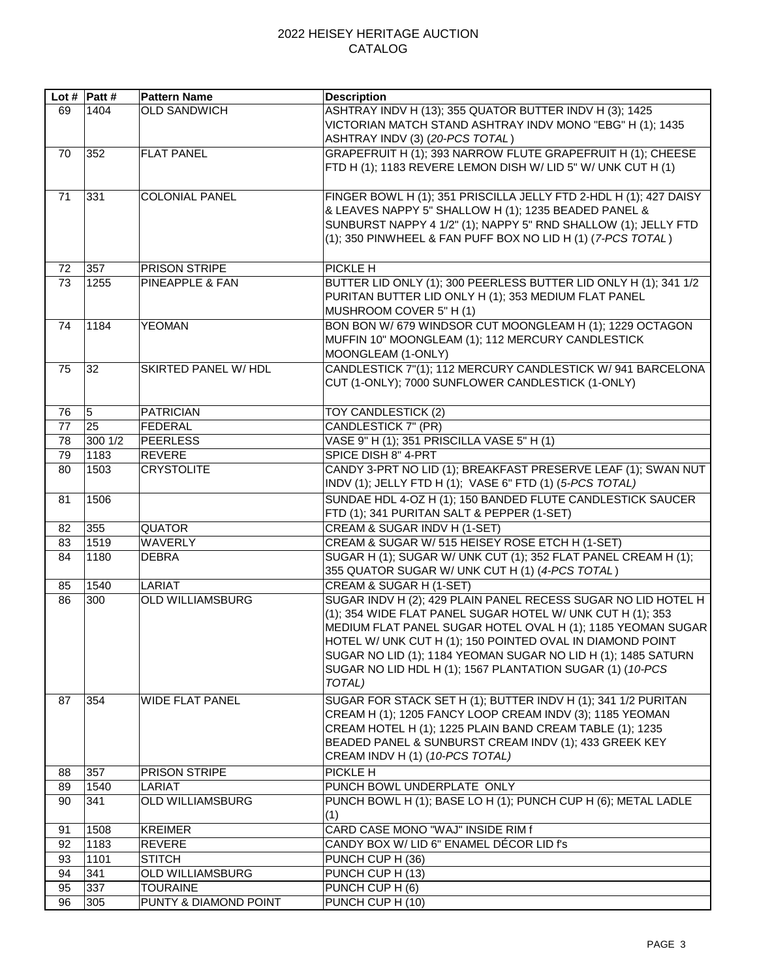|    | Lot #  Patt # | <b>Pattern Name</b>     | <b>Description</b>                                                                                                                                                                                                                                                                                                                                                                              |
|----|---------------|-------------------------|-------------------------------------------------------------------------------------------------------------------------------------------------------------------------------------------------------------------------------------------------------------------------------------------------------------------------------------------------------------------------------------------------|
| 69 | 1404          | <b>OLD SANDWICH</b>     | ASHTRAY INDV H (13); 355 QUATOR BUTTER INDV H (3); 1425<br>VICTORIAN MATCH STAND ASHTRAY INDV MONO "EBG" H (1); 1435<br>ASHTRAY INDV (3) (20-PCS TOTAL)                                                                                                                                                                                                                                         |
| 70 | 352           | <b>FLAT PANEL</b>       | GRAPEFRUIT H (1); 393 NARROW FLUTE GRAPEFRUIT H (1); CHEESE<br>FTD H (1); 1183 REVERE LEMON DISH W/ LID 5" W/ UNK CUT H (1)                                                                                                                                                                                                                                                                     |
| 71 | 331           | <b>COLONIAL PANEL</b>   | FINGER BOWL H (1); 351 PRISCILLA JELLY FTD 2-HDL H (1); 427 DAISY<br>& LEAVES NAPPY 5" SHALLOW H (1); 1235 BEADED PANEL &<br>SUNBURST NAPPY 4 1/2" (1); NAPPY 5" RND SHALLOW (1); JELLY FTD<br>(1); 350 PINWHEEL & FAN PUFF BOX NO LID H (1) (7-PCS TOTAL)                                                                                                                                      |
| 72 | 357           | PRISON STRIPE           | PICKLE H                                                                                                                                                                                                                                                                                                                                                                                        |
| 73 | 1255          | PINEAPPLE & FAN         | BUTTER LID ONLY (1); 300 PEERLESS BUTTER LID ONLY H (1); 341 1/2<br>PURITAN BUTTER LID ONLY H (1); 353 MEDIUM FLAT PANEL<br>MUSHROOM COVER 5" H (1)                                                                                                                                                                                                                                             |
| 74 | 1184          | <b>YEOMAN</b>           | BON BON W/679 WINDSOR CUT MOONGLEAM H (1); 1229 OCTAGON<br>MUFFIN 10" MOONGLEAM (1); 112 MERCURY CANDLESTICK<br>MOONGLEAM (1-ONLY)                                                                                                                                                                                                                                                              |
| 75 | 32            | SKIRTED PANEL W/ HDL    | CANDLESTICK 7"(1); 112 MERCURY CANDLESTICK W/ 941 BARCELONA<br>CUT (1-ONLY); 7000 SUNFLOWER CANDLESTICK (1-ONLY)                                                                                                                                                                                                                                                                                |
| 76 | 5             | <b>PATRICIAN</b>        | TOY CANDLESTICK (2)                                                                                                                                                                                                                                                                                                                                                                             |
| 77 | 25            | <b>FEDERAL</b>          | CANDLESTICK 7" (PR)                                                                                                                                                                                                                                                                                                                                                                             |
| 78 | 300 1/2       | <b>PEERLESS</b>         | VASE 9" H (1); 351 PRISCILLA VASE 5" H (1)                                                                                                                                                                                                                                                                                                                                                      |
| 79 | 1183          | <b>REVERE</b>           | SPICE DISH 8" 4-PRT                                                                                                                                                                                                                                                                                                                                                                             |
| 80 | 1503          | <b>CRYSTOLITE</b>       | CANDY 3-PRT NO LID (1); BREAKFAST PRESERVE LEAF (1); SWAN NUT<br>INDV (1); JELLY FTD H (1); VASE 6" FTD (1) (5-PCS TOTAL)                                                                                                                                                                                                                                                                       |
| 81 | 1506          |                         | SUNDAE HDL 4-OZ H (1); 150 BANDED FLUTE CANDLESTICK SAUCER<br>FTD (1); 341 PURITAN SALT & PEPPER (1-SET)                                                                                                                                                                                                                                                                                        |
| 82 | 355           | <b>QUATOR</b>           | CREAM & SUGAR INDV H (1-SET)                                                                                                                                                                                                                                                                                                                                                                    |
| 83 | 1519          | WAVERLY                 | CREAM & SUGAR W/ 515 HEISEY ROSE ETCH H (1-SET)                                                                                                                                                                                                                                                                                                                                                 |
| 84 | 1180          | <b>DEBRA</b>            | SUGAR H (1); SUGAR W/ UNK CUT (1); 352 FLAT PANEL CREAM H (1);<br>355 QUATOR SUGAR W/ UNK CUT H (1) (4-PCS TOTAL)                                                                                                                                                                                                                                                                               |
| 85 | 1540          | <b>LARIAT</b>           | CREAM & SUGAR H (1-SET)                                                                                                                                                                                                                                                                                                                                                                         |
| 86 | 300           | <b>OLD WILLIAMSBURG</b> | SUGAR INDV H (2); 429 PLAIN PANEL RECESS SUGAR NO LID HOTEL H<br>(1); 354 WIDE FLAT PANEL SUGAR HOTEL W/ UNK CUT H (1); 353<br>MEDIUM FLAT PANEL SUGAR HOTEL OVAL H (1); 1185 YEOMAN SUGAR<br>HOTEL W/ UNK CUT H (1); 150 POINTED OVAL IN DIAMOND POINT<br>SUGAR NO LID (1); 1184 YEOMAN SUGAR NO LID H (1); 1485 SATURN<br>SUGAR NO LID HDL H (1); 1567 PLANTATION SUGAR (1) (10-PCS<br>TOTAL) |
| 87 | 354           | <b>WIDE FLAT PANEL</b>  | SUGAR FOR STACK SET H (1); BUTTER INDV H (1); 341 1/2 PURITAN<br>CREAM H (1); 1205 FANCY LOOP CREAM INDV (3); 1185 YEOMAN<br>CREAM HOTEL H (1); 1225 PLAIN BAND CREAM TABLE (1); 1235<br>BEADED PANEL & SUNBURST CREAM INDV (1); 433 GREEK KEY<br>CREAM INDV H (1) (10-PCS TOTAL)                                                                                                               |
| 88 | 357           | PRISON STRIPE           | <b>PICKLE H</b>                                                                                                                                                                                                                                                                                                                                                                                 |
| 89 | 1540          | LARIAT                  | PUNCH BOWL UNDERPLATE ONLY                                                                                                                                                                                                                                                                                                                                                                      |
| 90 | 341           | <b>OLD WILLIAMSBURG</b> | PUNCH BOWL H (1); BASE LO H (1); PUNCH CUP H (6); METAL LADLE<br>(1)                                                                                                                                                                                                                                                                                                                            |
| 91 | 1508          | <b>KREIMER</b>          | CARD CASE MONO "WAJ" INSIDE RIM f                                                                                                                                                                                                                                                                                                                                                               |
| 92 | 1183          | <b>REVERE</b>           | CANDY BOX W/ LID 6" ENAMEL DÉCOR LID f's                                                                                                                                                                                                                                                                                                                                                        |
| 93 | 1101          | <b>STITCH</b>           | PUNCH CUP H (36)                                                                                                                                                                                                                                                                                                                                                                                |
| 94 | 341           | <b>OLD WILLIAMSBURG</b> | PUNCH CUP H (13)                                                                                                                                                                                                                                                                                                                                                                                |
| 95 | 337           | <b>TOURAINE</b>         | PUNCH CUP H (6)                                                                                                                                                                                                                                                                                                                                                                                 |
| 96 | 305           | PUNTY & DIAMOND POINT   | PUNCH CUP H (10)                                                                                                                                                                                                                                                                                                                                                                                |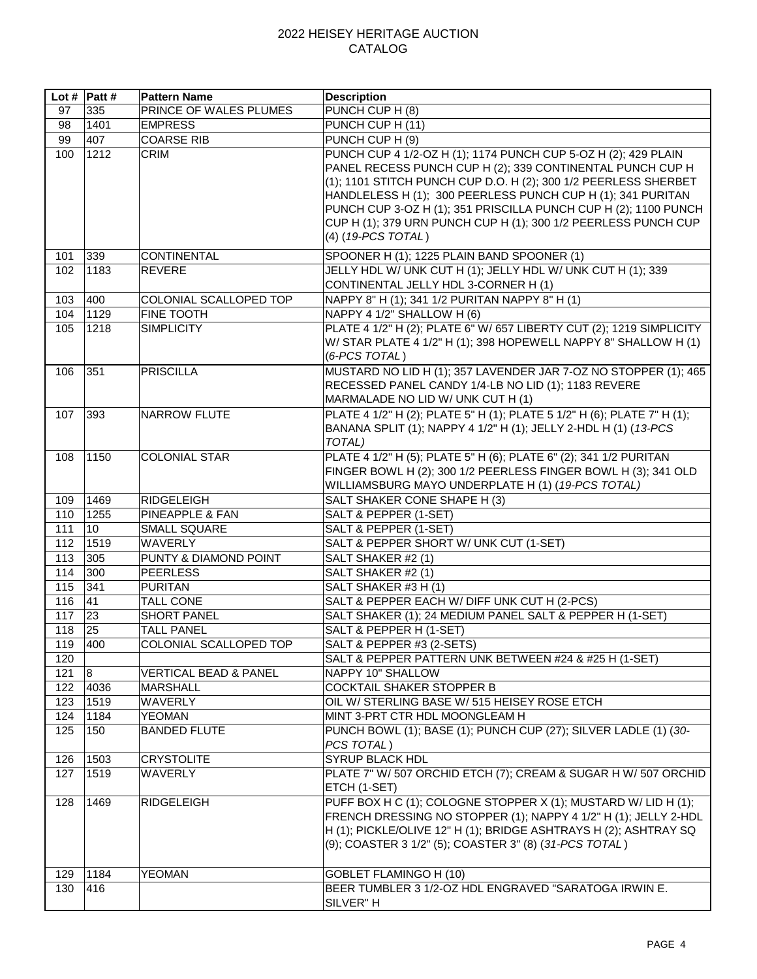|            | Lot #  Patt #     | <b>Pattern Name</b>              | <b>Description</b>                                                      |
|------------|-------------------|----------------------------------|-------------------------------------------------------------------------|
| 97         | 335               | PRINCE OF WALES PLUMES           | PUNCH CUP H (8)                                                         |
| 98         | 1401              | <b>EMPRESS</b>                   | PUNCH CUP H (11)                                                        |
| 99         | 407               | <b>COARSE RIB</b>                | PUNCH CUP H (9)                                                         |
| 100        | 1212              | <b>CRIM</b>                      | PUNCH CUP 4 1/2-OZ H (1); 1174 PUNCH CUP 5-OZ H (2); 429 PLAIN          |
|            |                   |                                  | PANEL RECESS PUNCH CUP H (2); 339 CONTINENTAL PUNCH CUP H               |
|            |                   |                                  | (1); 1101 STITCH PUNCH CUP D.O. H (2); 300 1/2 PEERLESS SHERBET         |
|            |                   |                                  | HANDLELESS H (1); 300 PEERLESS PUNCH CUP H (1); 341 PURITAN             |
|            |                   |                                  | PUNCH CUP 3-OZ H (1); 351 PRISCILLA PUNCH CUP H (2); 1100 PUNCH         |
|            |                   |                                  | CUP H (1); 379 URN PUNCH CUP H (1); 300 1/2 PEERLESS PUNCH CUP          |
|            |                   |                                  | (4) (19-PCS TOTAL)                                                      |
| 101        | 339               | <b>CONTINENTAL</b>               | SPOONER H (1); 1225 PLAIN BAND SPOONER (1)                              |
| 102        | 1183              | <b>REVERE</b>                    | JELLY HDL W/ UNK CUT H (1); JELLY HDL W/ UNK CUT H (1); 339             |
|            |                   |                                  | CONTINENTAL JELLY HDL 3-CORNER H (1)                                    |
| 103        | 400               | COLONIAL SCALLOPED TOP           | NAPPY 8" H (1); 341 1/2 PURITAN NAPPY 8" H (1)                          |
| 104        | 1129              | FINE TOOTH                       | NAPPY 4 1/2" SHALLOW H (6)                                              |
| 105        | 1218              | <b>SIMPLICITY</b>                | PLATE 4 1/2" H (2); PLATE 6" W/ 657 LIBERTY CUT (2); 1219 SIMPLICITY    |
|            |                   |                                  | W/ STAR PLATE 4 1/2" H (1); 398 HOPEWELL NAPPY 8" SHALLOW H (1)         |
|            |                   |                                  | (6-PCS TOTAL)                                                           |
| 106        | 351               | <b>PRISCILLA</b>                 | MUSTARD NO LID H (1); 357 LAVENDER JAR 7-OZ NO STOPPER (1); 465         |
|            |                   |                                  | RECESSED PANEL CANDY 1/4-LB NO LID (1); 1183 REVERE                     |
|            |                   |                                  | MARMALADE NO LID W/ UNK CUT H (1)                                       |
| 107        | 393               | <b>NARROW FLUTE</b>              | PLATE 4 1/2" H (2); PLATE 5" H (1); PLATE 5 1/2" H (6); PLATE 7" H (1); |
|            |                   |                                  | BANANA SPLIT (1); NAPPY 4 1/2" H (1); JELLY 2-HDL H (1) (13-PCS         |
|            |                   |                                  | TOTAL)                                                                  |
| 108        | $\overline{1150}$ | <b>COLONIAL STAR</b>             | PLATE 4 1/2" H (5); PLATE 5" H (6); PLATE 6" (2); 341 1/2 PURITAN       |
|            |                   |                                  | FINGER BOWL H (2); 300 1/2 PEERLESS FINGER BOWL H (3); 341 OLD          |
|            |                   |                                  | WILLIAMSBURG MAYO UNDERPLATE H (1) (19-PCS TOTAL)                       |
| 109        | 1469              | <b>RIDGELEIGH</b>                | SALT SHAKER CONE SHAPE H (3)                                            |
| 110<br>111 | 1255<br>10        | PINEAPPLE & FAN<br>SMALL SQUARE  | SALT & PEPPER (1-SET)<br>SALT & PEPPER (1-SET)                          |
| 112        | 1519              | <b>WAVERLY</b>                   | SALT & PEPPER SHORT W/ UNK CUT (1-SET)                                  |
| 113        | 305               | PUNTY & DIAMOND POINT            | SALT SHAKER #2 (1)                                                      |
| 114        | 300               | <b>PEERLESS</b>                  | SALT SHAKER #2 (1)                                                      |
| 115        | 341               | <b>PURITAN</b>                   | SALT SHAKER #3 H (1)                                                    |
| 116        | 41                | <b>TALL CONE</b>                 | SALT & PEPPER EACH W/ DIFF UNK CUT H (2-PCS)                            |
| 117        | 23                | <b>SHORT PANEL</b>               | SALT SHAKER (1); 24 MEDIUM PANEL SALT & PEPPER H (1-SET)                |
| 118        | 25                | <b>TALL PANEL</b>                | SALT & PEPPER H (1-SET)                                                 |
| 119 400    |                   | COLONIAL SCALLOPED TOP           | SALT & PEPPER #3 (2-SETS)                                               |
| 120        |                   |                                  | SALT & PEPPER PATTERN UNK BETWEEN #24 & #25 H (1-SET)                   |
| 121        | 8                 | <b>VERTICAL BEAD &amp; PANEL</b> | NAPPY 10" SHALLOW                                                       |
| 122        | 4036              | <b>MARSHALL</b>                  | COCKTAIL SHAKER STOPPER B                                               |
| 123        | 1519              | WAVERLY                          | OIL W/ STERLING BASE W/ 515 HEISEY ROSE ETCH                            |
| 124        | 1184              | <b>YEOMAN</b>                    | MINT 3-PRT CTR HDL MOONGLEAM H                                          |
| 125        | 150               | <b>BANDED FLUTE</b>              | PUNCH BOWL (1); BASE (1); PUNCH CUP (27); SILVER LADLE (1) (30-         |
|            |                   |                                  | PCS TOTAL)                                                              |
| 126        | 1503              | <b>CRYSTOLITE</b>                | <b>SYRUP BLACK HDL</b>                                                  |
| 127        | 1519              | WAVERLY                          | PLATE 7" W/ 507 ORCHID ETCH (7); CREAM & SUGAR H W/ 507 ORCHID          |
|            |                   |                                  | ETCH (1-SET)                                                            |
| 128        | 1469              | <b>RIDGELEIGH</b>                | PUFF BOX H C (1); COLOGNE STOPPER X (1); MUSTARD W/ LID H (1);          |
|            |                   |                                  | FRENCH DRESSING NO STOPPER (1); NAPPY 4 1/2" H (1); JELLY 2-HDL         |
|            |                   |                                  | H (1); PICKLE/OLIVE 12" H (1); BRIDGE ASHTRAYS H (2); ASHTRAY SQ        |
|            |                   |                                  | (9); COASTER 3 1/2" (5); COASTER 3" (8) (31-PCS TOTAL)                  |
|            |                   |                                  |                                                                         |
| 129        | 1184              | <b>YEOMAN</b>                    | GOBLET FLAMINGO H (10)                                                  |
| 130        | $\overline{416}$  |                                  | BEER TUMBLER 3 1/2-OZ HDL ENGRAVED "SARATOGA IRWIN E.<br>SILVER" H      |
|            |                   |                                  |                                                                         |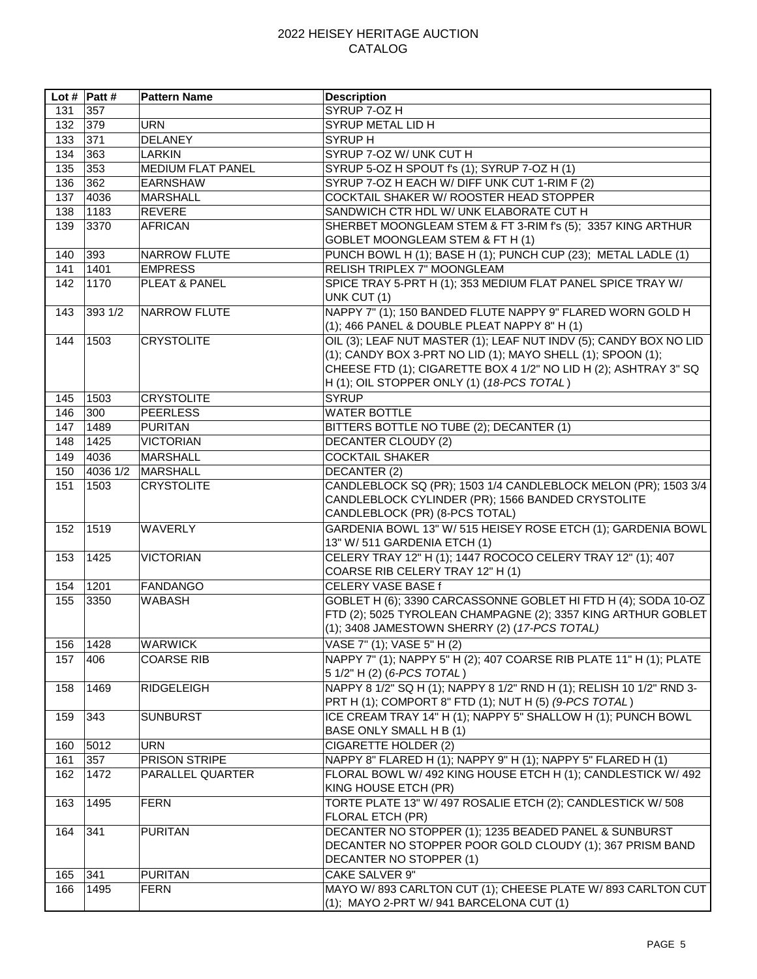|     | Lot #  Patt # | <b>Pattern Name</b> | <b>Description</b>                                                                           |
|-----|---------------|---------------------|----------------------------------------------------------------------------------------------|
| 131 | 357           |                     | SYRUP 7-OZ H                                                                                 |
| 132 | 379           | <b>URN</b>          | SYRUP METAL LID H                                                                            |
| 133 | 371           | <b>DELANEY</b>      | <b>SYRUPH</b>                                                                                |
| 134 | 363           | <b>LARKIN</b>       | SYRUP 7-OZ W/ UNK CUT H                                                                      |
| 135 | 353           | MEDIUM FLAT PANEL   | SYRUP 5-OZ H SPOUT f's (1); SYRUP 7-OZ H (1)                                                 |
| 136 | 362           | <b>EARNSHAW</b>     | SYRUP 7-OZ H EACH W/ DIFF UNK CUT 1-RIM F (2)                                                |
| 137 | 4036          | <b>MARSHALL</b>     | COCKTAIL SHAKER W/ ROOSTER HEAD STOPPER                                                      |
| 138 | 1183          | <b>REVERE</b>       | SANDWICH CTR HDL W/ UNK ELABORATE CUT H                                                      |
| 139 | 3370          | <b>AFRICAN</b>      | SHERBET MOONGLEAM STEM & FT 3-RIM f's (5); 3357 KING ARTHUR                                  |
|     |               |                     | GOBLET MOONGLEAM STEM & FT H (1)                                                             |
| 140 | 393           | <b>NARROW FLUTE</b> | PUNCH BOWL H (1); BASE H (1); PUNCH CUP (23); METAL LADLE (1)                                |
| 141 | 1401          | <b>EMPRESS</b>      | <b>RELISH TRIPLEX 7" MOONGLEAM</b>                                                           |
| 142 | 1170          | PLEAT & PANEL       | SPICE TRAY 5-PRT H (1); 353 MEDIUM FLAT PANEL SPICE TRAY W/                                  |
|     |               |                     | UNK CUT (1)                                                                                  |
| 143 | 393 1/2       | <b>NARROW FLUTE</b> | NAPPY 7" (1); 150 BANDED FLUTE NAPPY 9" FLARED WORN GOLD H                                   |
|     |               |                     | (1); 466 PANEL & DOUBLE PLEAT NAPPY 8" H (1)                                                 |
| 144 | 1503          | <b>CRYSTOLITE</b>   | OIL (3); LEAF NUT MASTER (1); LEAF NUT INDV (5); CANDY BOX NO LID                            |
|     |               |                     | (1); CANDY BOX 3-PRT NO LID (1); MAYO SHELL (1); SPOON (1);                                  |
|     |               |                     | CHEESE FTD (1); CIGARETTE BOX 4 1/2" NO LID H (2); ASHTRAY 3" SQ                             |
|     |               |                     | H (1); OIL STOPPER ONLY (1) (18-PCS TOTAL)                                                   |
| 145 | 1503          | <b>CRYSTOLITE</b>   | <b>SYRUP</b>                                                                                 |
| 146 | 300           | <b>PEERLESS</b>     | <b>WATER BOTTLE</b>                                                                          |
| 147 | 1489          | <b>PURITAN</b>      | BITTERS BOTTLE NO TUBE (2); DECANTER (1)                                                     |
| 148 | 1425          | <b>VICTORIAN</b>    | <b>DECANTER CLOUDY (2)</b>                                                                   |
| 149 | 4036          | <b>MARSHALL</b>     | <b>COCKTAIL SHAKER</b>                                                                       |
| 150 | $4036$ 1/2    | <b>MARSHALL</b>     | DECANTER (2)                                                                                 |
| 151 | 1503          | <b>CRYSTOLITE</b>   | CANDLEBLOCK SQ (PR); 1503 1/4 CANDLEBLOCK MELON (PR); 1503 3/4                               |
|     |               |                     | CANDLEBLOCK CYLINDER (PR); 1566 BANDED CRYSTOLITE                                            |
|     |               |                     | CANDLEBLOCK (PR) (8-PCS TOTAL)                                                               |
| 152 | 1519          | <b>WAVERLY</b>      | GARDENIA BOWL 13" W/ 515 HEISEY ROSE ETCH (1); GARDENIA BOWL<br>13" W/ 511 GARDENIA ETCH (1) |
| 153 | 1425          | <b>VICTORIAN</b>    | CELERY TRAY 12" H (1); 1447 ROCOCO CELERY TRAY 12" (1); 407                                  |
|     |               |                     | COARSE RIB CELERY TRAY 12" H (1)                                                             |
| 154 | 1201          | <b>FANDANGO</b>     | <b>CELERY VASE BASE f</b>                                                                    |
| 155 | 3350          | <b>WABASH</b>       | GOBLET H (6); 3390 CARCASSONNE GOBLET HI FTD H (4); SODA 10-OZ                               |
|     |               |                     | FTD (2); 5025 TYROLEAN CHAMPAGNE (2); 3357 KING ARTHUR GOBLET                                |
|     |               |                     | (1); 3408 JAMESTOWN SHERRY (2) (17-PCS TOTAL)                                                |
| 156 | 1428          | <b>WARWICK</b>      | VASE 7" (1); VASE 5" H (2)                                                                   |
| 157 | 406           | <b>COARSE RIB</b>   | NAPPY 7" (1); NAPPY 5" H (2); 407 COARSE RIB PLATE 11" H (1); PLATE                          |
|     |               |                     | 5 1/2" H (2) (6-PCS TOTAL)                                                                   |
| 158 | 1469          | <b>RIDGELEIGH</b>   | NAPPY 8 1/2" SQ H (1); NAPPY 8 1/2" RND H (1); RELISH 10 1/2" RND 3-                         |
|     |               |                     | PRT H (1); COMPORT 8" FTD (1); NUT H (5) (9-PCS TOTAL)                                       |
| 159 | 343           | <b>SUNBURST</b>     | ICE CREAM TRAY 14" H (1); NAPPY 5" SHALLOW H (1); PUNCH BOWL                                 |
|     |               |                     | BASE ONLY SMALL H B (1)                                                                      |
| 160 | 5012          | <b>URN</b>          | CIGARETTE HOLDER (2)                                                                         |
| 161 | 357           | PRISON STRIPE       | NAPPY 8" FLARED H (1); NAPPY 9" H (1); NAPPY 5" FLARED H (1)                                 |
| 162 | 1472          | PARALLEL QUARTER    | FLORAL BOWL W/ 492 KING HOUSE ETCH H (1); CANDLESTICK W/ 492                                 |
|     |               |                     | KING HOUSE ETCH (PR)                                                                         |
| 163 | 1495          | <b>FERN</b>         | TORTE PLATE 13" W/ 497 ROSALIE ETCH (2); CANDLESTICK W/ 508                                  |
|     |               |                     | FLORAL ETCH (PR)                                                                             |
| 164 | 341           | <b>PURITAN</b>      | DECANTER NO STOPPER (1); 1235 BEADED PANEL & SUNBURST                                        |
|     |               |                     | DECANTER NO STOPPER POOR GOLD CLOUDY (1); 367 PRISM BAND                                     |
|     |               |                     | DECANTER NO STOPPER (1)                                                                      |
| 165 | 341           | <b>PURITAN</b>      | <b>CAKE SALVER 9"</b>                                                                        |
| 166 | 1495          | <b>FERN</b>         | MAYO W/893 CARLTON CUT (1); CHEESE PLATE W/893 CARLTON CUT                                   |
|     |               |                     | (1); MAYO 2-PRT W/ 941 BARCELONA CUT (1)                                                     |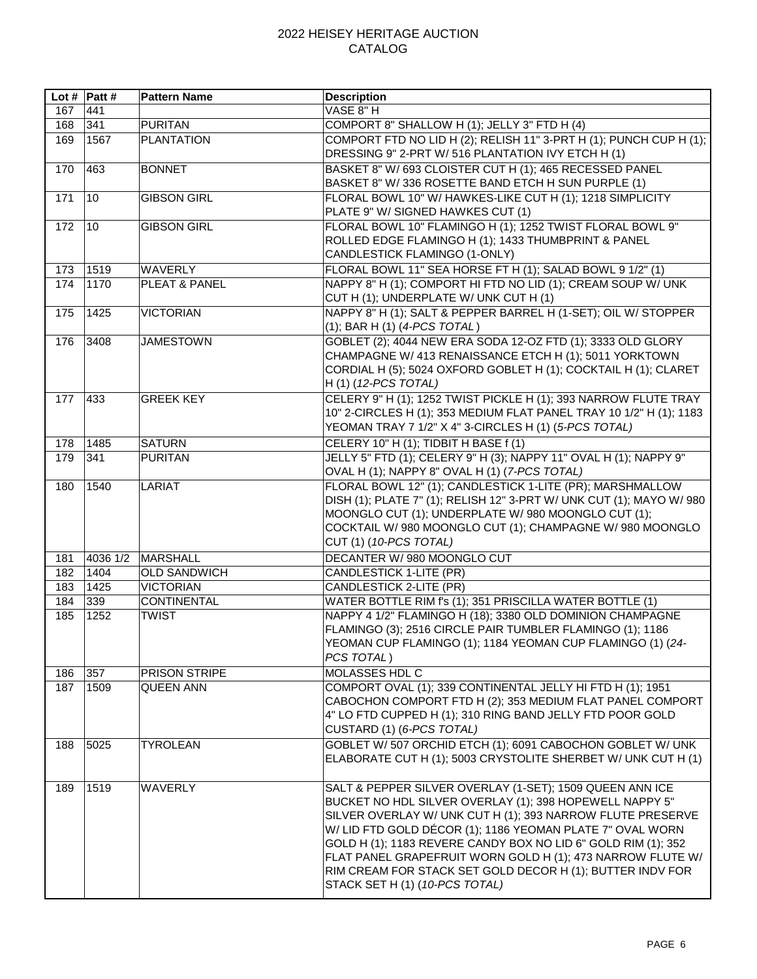|     | Lot # $Part #$ | <b>Pattern Name</b> | <b>Description</b>                                                                                                                                                                                                                                                                                                                                                                                                                                                          |
|-----|----------------|---------------------|-----------------------------------------------------------------------------------------------------------------------------------------------------------------------------------------------------------------------------------------------------------------------------------------------------------------------------------------------------------------------------------------------------------------------------------------------------------------------------|
| 167 | 441            |                     | VASE 8"H                                                                                                                                                                                                                                                                                                                                                                                                                                                                    |
| 168 | 341            | <b>PURITAN</b>      | COMPORT 8" SHALLOW H (1); JELLY 3" FTD H (4)                                                                                                                                                                                                                                                                                                                                                                                                                                |
| 169 | 1567           | <b>PLANTATION</b>   | COMPORT FTD NO LID H (2); RELISH 11" 3-PRT H (1); PUNCH CUP H (1);<br>DRESSING 9" 2-PRT W/ 516 PLANTATION IVY ETCH H (1)                                                                                                                                                                                                                                                                                                                                                    |
| 170 | 463            | <b>BONNET</b>       | BASKET 8" W/ 693 CLOISTER CUT H (1); 465 RECESSED PANEL                                                                                                                                                                                                                                                                                                                                                                                                                     |
|     |                |                     | BASKET 8" W/336 ROSETTE BAND ETCH H SUN PURPLE (1)                                                                                                                                                                                                                                                                                                                                                                                                                          |
| 171 | 10             | <b>GIBSON GIRL</b>  | FLORAL BOWL 10" W/ HAWKES-LIKE CUT H (1); 1218 SIMPLICITY<br>PLATE 9" W/ SIGNED HAWKES CUT (1)                                                                                                                                                                                                                                                                                                                                                                              |
| 172 | 10             | <b>GIBSON GIRL</b>  | FLORAL BOWL 10" FLAMINGO H (1); 1252 TWIST FLORAL BOWL 9"<br>ROLLED EDGE FLAMINGO H (1); 1433 THUMBPRINT & PANEL<br>CANDLESTICK FLAMINGO (1-ONLY)                                                                                                                                                                                                                                                                                                                           |
| 173 | 1519           | WAVERLY             | FLORAL BOWL 11" SEA HORSE FT H (1); SALAD BOWL 9 1/2" (1)                                                                                                                                                                                                                                                                                                                                                                                                                   |
| 174 | 1170           | PLEAT & PANEL       | NAPPY 8" H (1); COMPORT HI FTD NO LID (1); CREAM SOUP W/ UNK                                                                                                                                                                                                                                                                                                                                                                                                                |
|     |                |                     | CUT H (1); UNDERPLATE W/ UNK CUT H (1)                                                                                                                                                                                                                                                                                                                                                                                                                                      |
| 175 | 1425           | <b>VICTORIAN</b>    | NAPPY 8" H (1); SALT & PEPPER BARREL H (1-SET); OIL W/ STOPPER<br>(1); BAR H (1) (4-PCS TOTAL)                                                                                                                                                                                                                                                                                                                                                                              |
| 176 | 3408           | <b>JAMESTOWN</b>    | GOBLET (2); 4044 NEW ERA SODA 12-OZ FTD (1); 3333 OLD GLORY                                                                                                                                                                                                                                                                                                                                                                                                                 |
|     |                |                     | CHAMPAGNE W/ 413 RENAISSANCE ETCH H (1); 5011 YORKTOWN                                                                                                                                                                                                                                                                                                                                                                                                                      |
|     |                |                     | CORDIAL H (5); 5024 OXFORD GOBLET H (1); COCKTAIL H (1); CLARET<br>H (1) (12-PCS TOTAL)                                                                                                                                                                                                                                                                                                                                                                                     |
| 177 | 433            | <b>GREEK KEY</b>    | CELERY 9" H (1); 1252 TWIST PICKLE H (1); 393 NARROW FLUTE TRAY                                                                                                                                                                                                                                                                                                                                                                                                             |
|     |                |                     | 10" 2-CIRCLES H (1); 353 MEDIUM FLAT PANEL TRAY 10 1/2" H (1); 1183<br>YEOMAN TRAY 7 1/2" X 4" 3-CIRCLES H (1) (5-PCS TOTAL)                                                                                                                                                                                                                                                                                                                                                |
| 178 | 1485           | <b>SATURN</b>       | CELERY 10" H (1); TIDBIT H BASE f (1)                                                                                                                                                                                                                                                                                                                                                                                                                                       |
| 179 | 341            | <b>PURITAN</b>      | JELLY 5" FTD (1); CELERY 9" H (3); NAPPY 11" OVAL H (1); NAPPY 9"                                                                                                                                                                                                                                                                                                                                                                                                           |
|     |                |                     | OVAL H (1); NAPPY 8" OVAL H (1) (7-PCS TOTAL)                                                                                                                                                                                                                                                                                                                                                                                                                               |
| 180 | 1540           | <b>LARIAT</b>       | FLORAL BOWL 12" (1); CANDLESTICK 1-LITE (PR); MARSHMALLOW<br>DISH (1); PLATE 7" (1); RELISH 12" 3-PRT W/ UNK CUT (1); MAYO W/ 980<br>MOONGLO CUT (1); UNDERPLATE W/ 980 MOONGLO CUT (1);<br>COCKTAIL W/ 980 MOONGLO CUT (1); CHAMPAGNE W/ 980 MOONGLO<br>CUT (1) (10-PCS TOTAL)                                                                                                                                                                                             |
| 181 | 4036 1/2       | <b>MARSHALL</b>     | DECANTER W/ 980 MOONGLO CUT                                                                                                                                                                                                                                                                                                                                                                                                                                                 |
| 182 | 1404           | <b>OLD SANDWICH</b> | CANDLESTICK 1-LITE (PR)                                                                                                                                                                                                                                                                                                                                                                                                                                                     |
| 183 | 1425           | <b>VICTORIAN</b>    | CANDLESTICK 2-LITE (PR)                                                                                                                                                                                                                                                                                                                                                                                                                                                     |
| 184 | 339            | <b>CONTINENTAL</b>  | WATER BOTTLE RIM f's (1); 351 PRISCILLA WATER BOTTLE (1)                                                                                                                                                                                                                                                                                                                                                                                                                    |
| 185 | 1252           | <b>TWIST</b>        | NAPPY 4 1/2" FLAMINGO H (18); 3380 OLD DOMINION CHAMPAGNE<br>FLAMINGO (3); 2516 CIRCLE PAIR TUMBLER FLAMINGO (1); 1186<br>YEOMAN CUP FLAMINGO (1); 1184 YEOMAN CUP FLAMINGO (1) (24-<br>PCS TOTAL)                                                                                                                                                                                                                                                                          |
| 186 | 357            | PRISON STRIPE       | MOLASSES HDL C                                                                                                                                                                                                                                                                                                                                                                                                                                                              |
| 187 | 1509           | <b>QUEEN ANN</b>    | COMPORT OVAL (1); 339 CONTINENTAL JELLY HI FTD H (1); 1951<br>CABOCHON COMPORT FTD H (2); 353 MEDIUM FLAT PANEL COMPORT<br>4" LO FTD CUPPED H (1); 310 RING BAND JELLY FTD POOR GOLD<br>CUSTARD (1) (6-PCS TOTAL)                                                                                                                                                                                                                                                           |
| 188 | 5025           | <b>TYROLEAN</b>     | GOBLET W/ 507 ORCHID ETCH (1); 6091 CABOCHON GOBLET W/ UNK<br>ELABORATE CUT H (1); 5003 CRYSTOLITE SHERBET W/ UNK CUT H (1)                                                                                                                                                                                                                                                                                                                                                 |
| 189 | 1519           | WAVERLY             | SALT & PEPPER SILVER OVERLAY (1-SET); 1509 QUEEN ANN ICE<br>BUCKET NO HDL SILVER OVERLAY (1); 398 HOPEWELL NAPPY 5"<br>SILVER OVERLAY W/ UNK CUT H (1); 393 NARROW FLUTE PRESERVE<br>W/LID FTD GOLD DÉCOR (1); 1186 YEOMAN PLATE 7" OVAL WORN<br>GOLD H (1); 1183 REVERE CANDY BOX NO LID 6" GOLD RIM (1); 352<br>FLAT PANEL GRAPEFRUIT WORN GOLD H (1); 473 NARROW FLUTE W/<br>RIM CREAM FOR STACK SET GOLD DECOR H (1); BUTTER INDV FOR<br>STACK SET H (1) (10-PCS TOTAL) |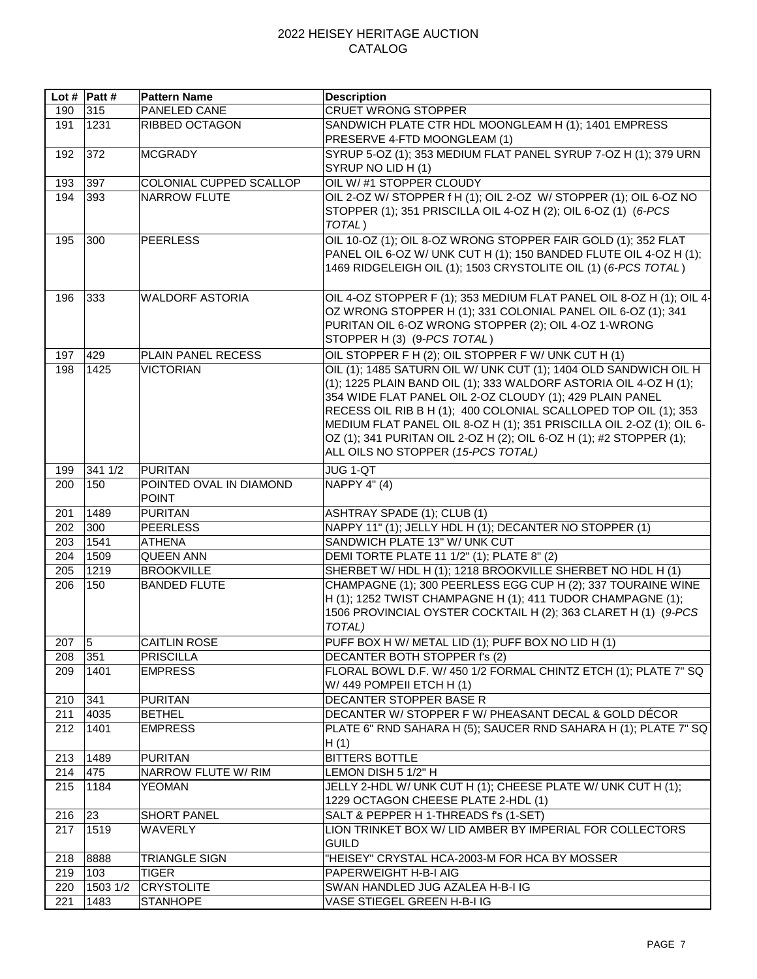|     | Lot #  Patt # | <b>Pattern Name</b>     | <b>Description</b>                                                                                                                   |
|-----|---------------|-------------------------|--------------------------------------------------------------------------------------------------------------------------------------|
| 190 | 315           | PANELED CANE            | <b>CRUET WRONG STOPPER</b>                                                                                                           |
| 191 | 1231          | RIBBED OCTAGON          | SANDWICH PLATE CTR HDL MOONGLEAM H (1); 1401 EMPRESS                                                                                 |
|     |               |                         | PRESERVE 4-FTD MOONGLEAM (1)                                                                                                         |
| 192 | 372           | <b>MCGRADY</b>          | SYRUP 5-OZ (1); 353 MEDIUM FLAT PANEL SYRUP 7-OZ H (1); 379 URN                                                                      |
|     |               |                         | SYRUP NO LID H (1)                                                                                                                   |
| 193 | 397           | COLONIAL CUPPED SCALLOP | OIL W/#1 STOPPER CLOUDY                                                                                                              |
| 194 | 393           | <b>NARROW FLUTE</b>     | OIL 2-OZ W/ STOPPER f H (1); OIL 2-OZ W/ STOPPER (1); OIL 6-OZ NO                                                                    |
|     |               |                         | STOPPER (1); 351 PRISCILLA OIL 4-OZ H (2); OIL 6-OZ (1) (6-PCS                                                                       |
|     |               |                         | TOTAL)                                                                                                                               |
| 195 | 300           | <b>PEERLESS</b>         | OIL 10-OZ (1); OIL 8-OZ WRONG STOPPER FAIR GOLD (1); 352 FLAT                                                                        |
|     |               |                         | PANEL OIL 6-OZ W/ UNK CUT H (1); 150 BANDED FLUTE OIL 4-OZ H (1);                                                                    |
|     |               |                         | 1469 RIDGELEIGH OIL (1); 1503 CRYSTOLITE OIL (1) (6-PCS TOTAL)                                                                       |
|     |               |                         |                                                                                                                                      |
|     |               |                         |                                                                                                                                      |
| 196 | 333           | <b>WALDORF ASTORIA</b>  | OIL 4-OZ STOPPER F (1); 353 MEDIUM FLAT PANEL OIL 8-OZ H (1); OIL 4-<br>OZ WRONG STOPPER H (1); 331 COLONIAL PANEL OIL 6-OZ (1); 341 |
|     |               |                         | PURITAN OIL 6-OZ WRONG STOPPER (2); OIL 4-OZ 1-WRONG                                                                                 |
|     |               |                         | STOPPER H (3) (9-PCS TOTAL)                                                                                                          |
|     |               |                         |                                                                                                                                      |
| 197 | 429           | PLAIN PANEL RECESS      | OIL STOPPER F H (2); OIL STOPPER F W/ UNK CUT H (1)                                                                                  |
| 198 | 1425          | <b>VICTORIAN</b>        | OIL (1); 1485 SATURN OIL W/ UNK CUT (1); 1404 OLD SANDWICH OIL H                                                                     |
|     |               |                         | (1); 1225 PLAIN BAND OIL (1); 333 WALDORF ASTORIA OIL 4-OZ H (1);                                                                    |
|     |               |                         | 354 WIDE FLAT PANEL OIL 2-OZ CLOUDY (1); 429 PLAIN PANEL                                                                             |
|     |               |                         | RECESS OIL RIB B H (1); 400 COLONIAL SCALLOPED TOP OIL (1); 353                                                                      |
|     |               |                         | MEDIUM FLAT PANEL OIL 8-OZ H (1); 351 PRISCILLA OIL 2-OZ (1); OIL 6-                                                                 |
|     |               |                         | OZ (1); 341 PURITAN OIL 2-OZ H (2); OIL 6-OZ H (1); #2 STOPPER (1);                                                                  |
|     |               |                         | ALL OILS NO STOPPER (15-PCS TOTAL)                                                                                                   |
| 199 | 341 1/2       | <b>PURITAN</b>          | JUG 1-QT                                                                                                                             |
| 200 | 150           | POINTED OVAL IN DIAMOND | <b>NAPPY 4" (4)</b>                                                                                                                  |
|     |               | <b>POINT</b>            |                                                                                                                                      |
| 201 | 1489          | <b>PURITAN</b>          | ASHTRAY SPADE (1); CLUB (1)                                                                                                          |
| 202 | 300           | <b>PEERLESS</b>         | NAPPY 11" (1); JELLY HDL H (1); DECANTER NO STOPPER (1)                                                                              |
| 203 | 1541          | <b>ATHENA</b>           | SANDWICH PLATE 13" W/ UNK CUT                                                                                                        |
| 204 | 1509          | <b>QUEEN ANN</b>        | DEMI TORTE PLATE 11 1/2" (1); PLATE 8" (2)                                                                                           |
| 205 | 1219          | <b>BROOKVILLE</b>       | SHERBET W/HDL H (1); 1218 BROOKVILLE SHERBET NO HDL H (1)                                                                            |
| 206 | 150           | <b>BANDED FLUTE</b>     | CHAMPAGNE (1); 300 PEERLESS EGG CUP H (2); 337 TOURAINE WINE                                                                         |
|     |               |                         | H (1); 1252 TWIST CHAMPAGNE H (1); 411 TUDOR CHAMPAGNE (1);                                                                          |
|     |               |                         | 1506 PROVINCIAL OYSTER COCKTAIL H (2); 363 CLARET H (1) (9-PCS                                                                       |
|     |               |                         | TOTAL)                                                                                                                               |
| 207 | 5             | <b>CAITLIN ROSE</b>     | PUFF BOX H W/ METAL LID (1); PUFF BOX NO LID H (1)                                                                                   |
| 208 | 351           | <b>PRISCILLA</b>        | DECANTER BOTH STOPPER f's (2)                                                                                                        |
| 209 | 1401          | <b>EMPRESS</b>          | FLORAL BOWL D.F. W/ 450 1/2 FORMAL CHINTZ ETCH (1); PLATE 7" SQ                                                                      |
|     |               |                         | W/449 POMPEII ETCH H (1)                                                                                                             |
| 210 | 341           | <b>PURITAN</b>          | DECANTER STOPPER BASE R                                                                                                              |
| 211 | 4035          | <b>BETHEL</b>           | DECANTER W/ STOPPER F W/ PHEASANT DECAL & GOLD DÉCOR                                                                                 |
| 212 | 1401          | <b>EMPRESS</b>          | PLATE 6" RND SAHARA H (5); SAUCER RND SAHARA H (1); PLATE 7" SQ                                                                      |
|     |               |                         | H(1)                                                                                                                                 |
| 213 | 1489          | <b>PURITAN</b>          | <b>BITTERS BOTTLE</b>                                                                                                                |
| 214 | 475           | NARROW FLUTE W/ RIM     | LEMON DISH 5 1/2" H                                                                                                                  |
| 215 | 1184          | <b>YEOMAN</b>           | JELLY 2-HDL W/ UNK CUT H (1); CHEESE PLATE W/ UNK CUT H (1);                                                                         |
|     |               |                         | 1229 OCTAGON CHEESE PLATE 2-HDL (1)                                                                                                  |
| 216 | 23            | <b>SHORT PANEL</b>      | SALT & PEPPER H 1-THREADS f's (1-SET)                                                                                                |
| 217 | 1519          | <b>WAVERLY</b>          | LION TRINKET BOX W/ LID AMBER BY IMPERIAL FOR COLLECTORS                                                                             |
|     |               |                         | <b>GUILD</b>                                                                                                                         |
| 218 | 8888          | TRIANGLE SIGN           | "HEISEY" CRYSTAL HCA-2003-M FOR HCA BY MOSSER                                                                                        |
| 219 | 103           | <b>TIGER</b>            | PAPERWEIGHT H-B-I AIG                                                                                                                |
| 220 | 1503 1/2      | <b>CRYSTOLITE</b>       | SWAN HANDLED JUG AZALEA H-B-I IG                                                                                                     |
|     |               |                         | VASE STIEGEL GREEN H-B-I IG                                                                                                          |
| 221 | 1483          | <b>STANHOPE</b>         |                                                                                                                                      |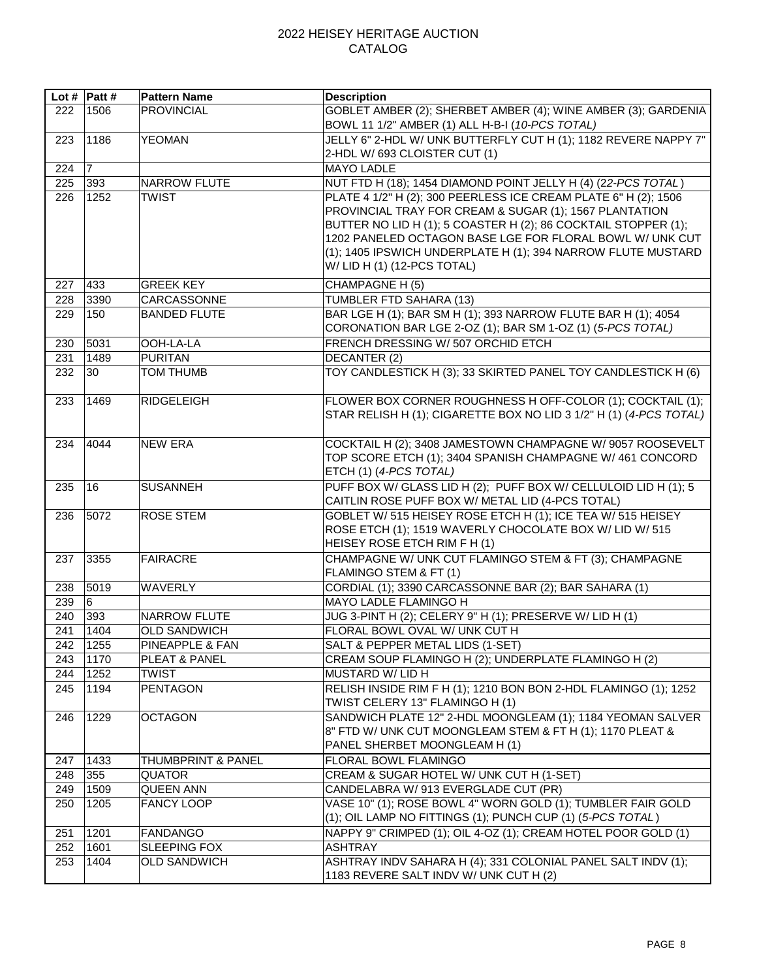|            | Lot #  Patt # | <b>Pattern Name</b>           | <b>Description</b>                                                                                                          |
|------------|---------------|-------------------------------|-----------------------------------------------------------------------------------------------------------------------------|
| 222        | 1506          | <b>PROVINCIAL</b>             | GOBLET AMBER (2); SHERBET AMBER (4); WINE AMBER (3); GARDENIA<br>BOWL 11 1/2" AMBER (1) ALL H-B-I (10-PCS TOTAL)            |
| 223        | 1186          | <b>YEOMAN</b>                 | JELLY 6" 2-HDL W/ UNK BUTTERFLY CUT H (1); 1182 REVERE NAPPY 7"                                                             |
|            |               |                               |                                                                                                                             |
|            | 17            |                               | 2-HDL W/ 693 CLOISTER CUT (1)<br><b>MAYO LADLE</b>                                                                          |
| 224        |               |                               |                                                                                                                             |
| 225        | 393           | <b>NARROW FLUTE</b>           | NUT FTD H (18); 1454 DIAMOND POINT JELLY H (4) (22-PCS TOTAL)                                                               |
| 226        | 1252          | <b>TWIST</b>                  | PLATE 4 1/2" H (2); 300 PEERLESS ICE CREAM PLATE 6" H (2); 1506                                                             |
|            |               |                               | PROVINCIAL TRAY FOR CREAM & SUGAR (1); 1567 PLANTATION<br>BUTTER NO LID H (1); 5 COASTER H (2); 86 COCKTAIL STOPPER (1);    |
|            |               |                               | 1202 PANELED OCTAGON BASE LGE FOR FLORAL BOWL W/ UNK CUT                                                                    |
|            |               |                               | (1); 1405 IPSWICH UNDERPLATE H (1); 394 NARROW FLUTE MUSTARD                                                                |
|            |               |                               | W/ LID H (1) (12-PCS TOTAL)                                                                                                 |
|            |               |                               |                                                                                                                             |
| 227        | 433           | <b>GREEK KEY</b>              | CHAMPAGNE H (5)                                                                                                             |
| 228        | 3390          | CARCASSONNE                   | TUMBLER FTD SAHARA (13)                                                                                                     |
| 229        | 150           | <b>BANDED FLUTE</b>           | BAR LGE H (1); BAR SM H (1); 393 NARROW FLUTE BAR H (1); 4054<br>CORONATION BAR LGE 2-OZ (1); BAR SM 1-OZ (1) (5-PCS TOTAL) |
| 230        | 5031          | OOH-LA-LA                     | FRENCH DRESSING W/507 ORCHID ETCH                                                                                           |
| 231        | 1489          | <b>PURITAN</b>                | DECANTER (2)                                                                                                                |
| 232        | 30            | <b>TOM THUMB</b>              | TOY CANDLESTICK H (3); 33 SKIRTED PANEL TOY CANDLESTICK H (6)                                                               |
|            |               |                               |                                                                                                                             |
| 233        | 1469          | <b>RIDGELEIGH</b>             | FLOWER BOX CORNER ROUGHNESS H OFF-COLOR (1); COCKTAIL (1);                                                                  |
|            |               |                               | STAR RELISH H (1); CIGARETTE BOX NO LID 3 1/2" H (1) (4-PCS TOTAL)                                                          |
|            |               |                               |                                                                                                                             |
| 234        | 4044          | <b>NEW ERA</b>                | COCKTAIL H (2); 3408 JAMESTOWN CHAMPAGNE W/ 9057 ROOSEVELT                                                                  |
|            |               |                               | TOP SCORE ETCH (1); 3404 SPANISH CHAMPAGNE W/ 461 CONCORD                                                                   |
|            |               |                               | ETCH (1) (4-PCS TOTAL)                                                                                                      |
| 235        | 16            | <b>SUSANNEH</b>               | PUFF BOX W/ GLASS LID H (2); PUFF BOX W/ CELLULOID LID H (1); 5                                                             |
|            |               |                               | CAITLIN ROSE PUFF BOX W/ METAL LID (4-PCS TOTAL)                                                                            |
| 236        | 5072          | <b>ROSE STEM</b>              | GOBLET W/ 515 HEISEY ROSE ETCH H (1); ICE TEA W/ 515 HEISEY                                                                 |
|            |               |                               | ROSE ETCH (1); 1519 WAVERLY CHOCOLATE BOX W/ LID W/ 515                                                                     |
|            |               |                               | HEISEY ROSE ETCH RIM F H (1)                                                                                                |
| 237        | 3355          | <b>FAIRACRE</b>               | CHAMPAGNE W/ UNK CUT FLAMINGO STEM & FT (3); CHAMPAGNE                                                                      |
|            |               |                               | FLAMINGO STEM & FT (1)                                                                                                      |
| 238<br>239 | 5019<br>16    | WAVERLY                       | CORDIAL (1); 3390 CARCASSONNE BAR (2); BAR SAHARA (1)<br>MAYO LADLE FLAMINGO H                                              |
| 240        | $ 393\rangle$ | <b>NARROW FLUTE</b>           | JUG 3-PINT H (2); CELERY 9" H (1); PRESERVE W/ LID H (1)                                                                    |
| 241        | 1404          | <b>OLD SANDWICH</b>           | FLORAL BOWL OVAL W/ UNK CUT H                                                                                               |
|            | 242 1255      | PINEAPPLE & FAN               | SALT & PEPPER METAL LIDS (1-SET)                                                                                            |
| 243        | 1170          | PLEAT & PANEL                 | CREAM SOUP FLAMINGO H (2); UNDERPLATE FLAMINGO H (2)                                                                        |
| 244        | 1252          | <b>TWIST</b>                  | MUSTARD W/LID H                                                                                                             |
| 245        | 1194          | <b>PENTAGON</b>               | RELISH INSIDE RIM F H (1); 1210 BON BON 2-HDL FLAMINGO (1); 1252                                                            |
|            |               |                               | TWIST CELERY 13" FLAMINGO H (1)                                                                                             |
| 246        | 1229          | <b>OCTAGON</b>                | SANDWICH PLATE 12" 2-HDL MOONGLEAM (1); 1184 YEOMAN SALVER                                                                  |
|            |               |                               | 8" FTD W/ UNK CUT MOONGLEAM STEM & FT H (1); 1170 PLEAT &                                                                   |
|            |               |                               | PANEL SHERBET MOONGLEAM H (1)                                                                                               |
| 247        | 1433          | <b>THUMBPRINT &amp; PANEL</b> | FLORAL BOWL FLAMINGO                                                                                                        |
| 248        | 355           | <b>QUATOR</b>                 | CREAM & SUGAR HOTEL W/ UNK CUT H (1-SET)                                                                                    |
| 249        | 1509          | <b>QUEEN ANN</b>              | CANDELABRA W/ 913 EVERGLADE CUT (PR)                                                                                        |
| 250        | 1205          | <b>FANCY LOOP</b>             | VASE 10" (1); ROSE BOWL 4" WORN GOLD (1); TUMBLER FAIR GOLD                                                                 |
|            |               |                               | (1); OIL LAMP NO FITTINGS (1); PUNCH CUP (1) (5-PCS TOTAL)                                                                  |
| 251        | 1201          | <b>FANDANGO</b>               | NAPPY 9" CRIMPED (1); OIL 4-OZ (1); CREAM HOTEL POOR GOLD (1)                                                               |
| 252        | 1601          | SLEEPING FOX                  | <b>ASHTRAY</b>                                                                                                              |
| 253        | 1404          | <b>OLD SANDWICH</b>           | ASHTRAY INDV SAHARA H (4); 331 COLONIAL PANEL SALT INDV (1);                                                                |
|            |               |                               | 1183 REVERE SALT INDV W/ UNK CUT H (2)                                                                                      |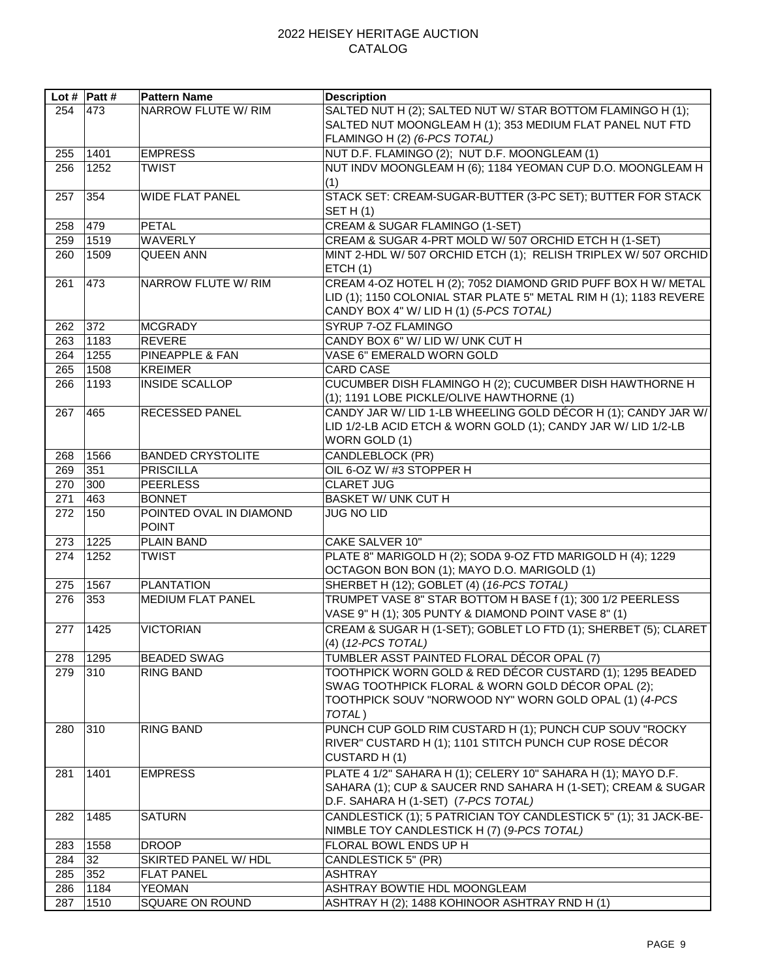|     | Lot # $Part #$ | <b>Pattern Name</b>                     | <b>Description</b>                                                |
|-----|----------------|-----------------------------------------|-------------------------------------------------------------------|
| 254 | 473            | NARROW FLUTE W/ RIM                     | SALTED NUT H (2); SALTED NUT W/ STAR BOTTOM FLAMINGO H (1);       |
|     |                |                                         | SALTED NUT MOONGLEAM H (1); 353 MEDIUM FLAT PANEL NUT FTD         |
|     |                |                                         | FLAMINGO H (2) (6-PCS TOTAL)                                      |
| 255 | 1401           | <b>EMPRESS</b>                          | NUT D.F. FLAMINGO (2); NUT D.F. MOONGLEAM (1)                     |
| 256 | 1252           | <b>TWIST</b>                            | NUT INDV MOONGLEAM H (6); 1184 YEOMAN CUP D.O. MOONGLEAM H        |
|     |                |                                         | (1)                                                               |
| 257 | 354            | <b>WIDE FLAT PANEL</b>                  | STACK SET: CREAM-SUGAR-BUTTER (3-PC SET); BUTTER FOR STACK        |
|     |                |                                         | SET H (1)                                                         |
| 258 | 479            | <b>PETAL</b>                            | CREAM & SUGAR FLAMINGO (1-SET)                                    |
| 259 | 1519           | <b>WAVERLY</b>                          | CREAM & SUGAR 4-PRT MOLD W/ 507 ORCHID ETCH H (1-SET)             |
| 260 | 1509           | <b>QUEEN ANN</b>                        | MINT 2-HDL W/ 507 ORCHID ETCH (1); RELISH TRIPLEX W/ 507 ORCHID   |
|     |                |                                         | ETCH(1)                                                           |
| 261 | 473            | NARROW FLUTE W/ RIM                     | CREAM 4-OZ HOTEL H (2); 7052 DIAMOND GRID PUFF BOX H W/ METAL     |
|     |                |                                         | LID (1); 1150 COLONIAL STAR PLATE 5" METAL RIM H (1); 1183 REVERE |
|     |                |                                         | CANDY BOX 4" W/ LID H (1) (5-PCS TOTAL)                           |
| 262 | 372            | <b>MCGRADY</b>                          | SYRUP 7-OZ FLAMINGO                                               |
| 263 | 1183           | <b>REVERE</b>                           | CANDY BOX 6" W/ LID W/ UNK CUT H                                  |
| 264 | 1255           | PINEAPPLE & FAN                         | VASE 6" EMERALD WORN GOLD                                         |
| 265 | 1508           | <b>KREIMER</b>                          | CARD CASE                                                         |
| 266 | 1193           | <b>INSIDE SCALLOP</b>                   | CUCUMBER DISH FLAMINGO H (2); CUCUMBER DISH HAWTHORNE H           |
|     |                |                                         | (1); 1191 LOBE PICKLE/OLIVE HAWTHORNE (1)                         |
| 267 | 465            | RECESSED PANEL                          | CANDY JAR W/ LID 1-LB WHEELING GOLD DÉCOR H (1); CANDY JAR W/     |
|     |                |                                         | LID 1/2-LB ACID ETCH & WORN GOLD (1); CANDY JAR W/ LID 1/2-LB     |
|     |                |                                         | WORN GOLD (1)                                                     |
| 268 | 1566           | <b>BANDED CRYSTOLITE</b>                | CANDLEBLOCK (PR)                                                  |
| 269 | 351            | <b>PRISCILLA</b>                        | OIL 6-OZ W/#3 STOPPER H                                           |
| 270 | 300            | <b>PEERLESS</b>                         | <b>CLARET JUG</b>                                                 |
| 271 | 463            | <b>BONNET</b>                           | <b>BASKET W/ UNK CUT H</b>                                        |
| 272 | 150            | POINTED OVAL IN DIAMOND<br><b>POINT</b> | <b>JUG NO LID</b>                                                 |
| 273 | 1225           | <b>PLAIN BAND</b>                       | <b>CAKE SALVER 10"</b>                                            |
| 274 | 1252           | <b>TWIST</b>                            | PLATE 8" MARIGOLD H (2); SODA 9-OZ FTD MARIGOLD H (4); 1229       |
|     |                |                                         | OCTAGON BON BON (1); MAYO D.O. MARIGOLD (1)                       |
| 275 | 1567           | <b>PLANTATION</b>                       | SHERBET H (12); GOBLET (4) (16-PCS TOTAL)                         |
| 276 | 353            | <b>MEDIUM FLAT PANEL</b>                | TRUMPET VASE 8" STAR BOTTOM H BASE f (1); 300 1/2 PEERLESS        |
|     |                |                                         | VASE 9" H (1); 305 PUNTY & DIAMOND POINT VASE 8" (1)              |
| 277 | 1425           | <b>VICTORIAN</b>                        | CREAM & SUGAR H (1-SET); GOBLET LO FTD (1); SHERBET (5); CLARET   |
|     |                |                                         | (4) (12-PCS TOTAL)                                                |
| 278 | 1295           | <b>BEADED SWAG</b>                      | TUMBLER ASST PAINTED FLORAL DÉCOR OPAL (7)                        |
| 279 | 310            | <b>RING BAND</b>                        | TOOTHPICK WORN GOLD & RED DÉCOR CUSTARD (1); 1295 BEADED          |
|     |                |                                         | SWAG TOOTHPICK FLORAL & WORN GOLD DÉCOR OPAL (2);                 |
|     |                |                                         | TOOTHPICK SOUV "NORWOOD NY" WORN GOLD OPAL (1) (4-PCS             |
|     |                |                                         | TOTAL)                                                            |
| 280 | 310            | <b>RING BAND</b>                        | PUNCH CUP GOLD RIM CUSTARD H (1); PUNCH CUP SOUV "ROCKY           |
|     |                |                                         | RIVER" CUSTARD H (1); 1101 STITCH PUNCH CUP ROSE DÉCOR            |
|     |                |                                         | CUSTARD H(1)                                                      |
| 281 | 1401           | <b>EMPRESS</b>                          | PLATE 4 1/2" SAHARA H (1); CELERY 10" SAHARA H (1); MAYO D.F.     |
|     |                |                                         | SAHARA (1); CUP & SAUCER RND SAHARA H (1-SET); CREAM & SUGAR      |
|     |                |                                         | D.F. SAHARA H (1-SET) (7-PCS TOTAL)                               |
| 282 | 1485           | <b>SATURN</b>                           | CANDLESTICK (1); 5 PATRICIAN TOY CANDLESTICK 5" (1); 31 JACK-BE-  |
|     |                |                                         | NIMBLE TOY CANDLESTICK H (7) (9-PCS TOTAL)                        |
| 283 | 1558           | <b>DROOP</b>                            | FLORAL BOWL ENDS UP H                                             |
| 284 | 32             | SKIRTED PANEL W/ HDL                    | CANDLESTICK 5" (PR)                                               |
| 285 | 352            | <b>FLAT PANEL</b>                       | <b>ASHTRAY</b>                                                    |
| 286 | 1184           | <b>YEOMAN</b>                           | ASHTRAY BOWTIE HDL MOONGLEAM                                      |
| 287 | 1510           | SQUARE ON ROUND                         | ASHTRAY H (2); 1488 KOHINOOR ASHTRAY RND H (1)                    |